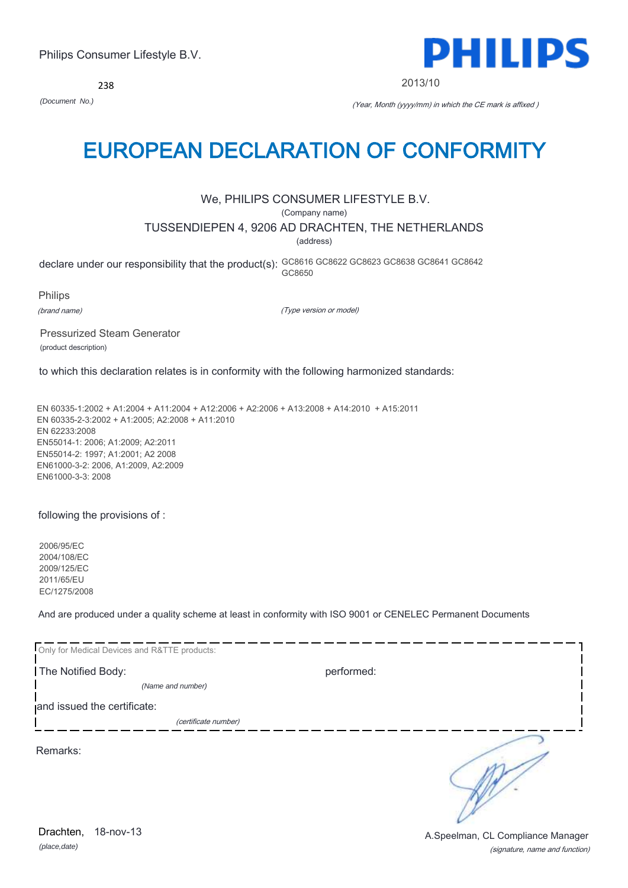238



2013/10

*(Document No.)* (Year, Month (yyyy/mm) in which the CE mark is affixed )

# EUROPEAN DECLARATION OF CONFORMITY

# We, PHILIPS CONSUMER LIFESTYLE B.V.

(Company name)

TUSSENDIEPEN 4, 9206 AD DRACHTEN, THE NETHERLANDS

(address)

declare under our responsibility that the product(s): GC8616 GC8622 GC8623 GC8638 GC8641 GC8642 GC8650

Philips

(brand name)

(Type version or model)

Pressurized Steam Generator (product description)

to which this declaration relates is in conformity with the following harmonized standards:

EN 60335-1:2002 + A1:2004 + A11:2004 + A12:2006 + A2:2006 + A13:2008 + A14:2010 + A15:2011 EN 60335-2-3:2002 + A1:2005; A2:2008 + A11:2010 EN 62233:2008 EN55014-1: 2006; A1:2009; A2:2011 EN55014-2: 1997; A1:2001; A2 2008 EN61000-3-2: 2006, A1:2009, A2:2009 EN61000-3-3: 2008

following the provisions of :

2006/95/EC 2004/108/EC 2009/125/EC 2011/65/EU EC/1275/2008

And are produced under a quality scheme at least in conformity with ISO 9001 or CENELEC Permanent Documents

| Only for Medical Devices and R&TTE products: |            |
|----------------------------------------------|------------|
| The Notified Body:                           | performed: |
| (Name and number)                            |            |
| and issued the certificate:                  |            |
| (certificate number)                         |            |
| Remarks:                                     |            |

*(place,date)* 18-nov-13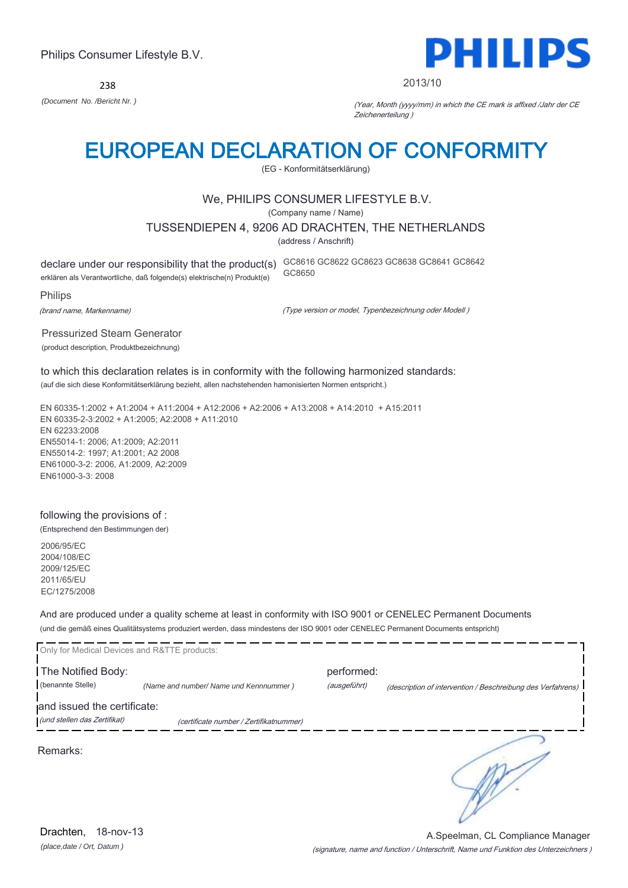238



#### 2013/10

*(Document No. /Bericht Nr. )* (Year, Month (yyyy/mm) in which the CE mark is affixed /Jahr der CE Zeichenerteilung )

# EUROPEAN DECLARATION OF CONFORMITY

(EG - Konformitätserklärung)

## We, PHILIPS CONSUMER LIFESTYLE B.V.

(Company name / Name)

TUSSENDIEPEN 4, 9206 AD DRACHTEN, THE NETHERLANDS

(address / Anschrift)

declare under our responsibility that the product(s) GC8616 GC8622 GC8623 GC8638 GC8641 GC8642 erklären als Verantwortliche, daß folgende(s) elektrische(n) Produkt(e) GC8650

Philips

(brand name, Markenname)

(Type version or model, Typenbezeichnung oder Modell )

Pressurized Steam Generator

(product description, Produktbezeichnung)

to which this declaration relates is in conformity with the following harmonized standards:

(auf die sich diese Konformitätserklärung bezieht, allen nachstehenden hamonisierten Normen entspricht.)

EN 60335-1:2002 + A1:2004 + A11:2004 + A12:2006 + A2:2006 + A13:2008 + A14:2010 + A15:2011 EN 60335-2-3:2002 + A1:2005; A2:2008 + A11:2010 EN 62233:2008 EN55014-1: 2006; A1:2009; A2:2011 EN55014-2: 1997; A1:2001; A2 2008 EN61000-3-2: 2006, A1:2009, A2:2009 EN61000-3-3: 2008

### following the provisions of :

(Entsprechend den Bestimmungen der)

2006/95/EC 2004/108/EC 2009/125/EC 2011/65/EU EC/1275/2008

And are produced under a quality scheme at least in conformity with ISO 9001 or CENELEC Permanent Documents (und die gemäß eines Qualitätsystems produziert werden, dass mindestens der ISO 9001 oder CENELEC Permanent Documents entspricht)

| Only for Medical Devices and R&TTE products: |                                         |              |                                                             |
|----------------------------------------------|-----------------------------------------|--------------|-------------------------------------------------------------|
| The Notified Body:                           |                                         | performed:   |                                                             |
| (benannte Stelle)                            | (Name and number/ Name und Kennnummer)  | (ausgeführt) | (description of intervention / Beschreibung des Verfahrens) |
| and issued the certificate:                  |                                         |              |                                                             |
| (und stellen das Zertifikat)                 | (certificate number / Zertifikatnummer) |              |                                                             |
| Remarks:                                     |                                         |              |                                                             |

*(place,date / Ort, Datum )* Drachten, 18-nov-13

(signature, name and function / Unterschrift, Name und Funktion des Unterzeichners ) A.Speelman, CL Compliance Manager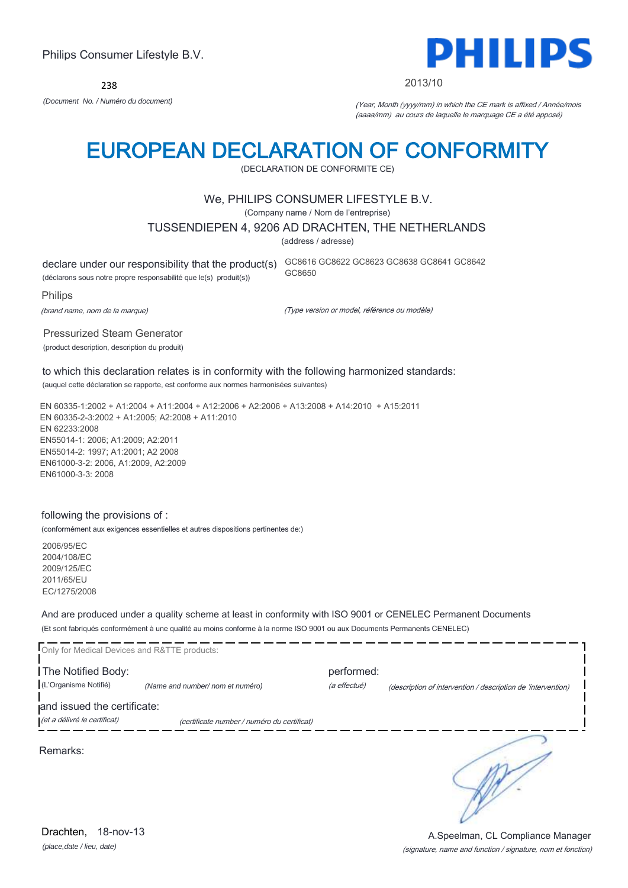238



#### 2013/10

*(Document No. / Numéro du document)* (Year, Month (yyyy/mm) in which the CE mark is affixed / Année/mois (aaaa/mm) au cours de laquelle le marquage CE a été apposé)

# EUROPEAN DECLARATION OF CONFORMITY

(DECLARATION DE CONFORMITE CE)

## We, PHILIPS CONSUMER LIFESTYLE B.V.

(Company name / Nom de l'entreprise)

### TUSSENDIEPEN 4, 9206 AD DRACHTEN, THE NETHERLANDS

(address / adresse)

declare under our responsibility that the product(s) GC8616 GC8622 GC8623 GC8638 GC8641 GC8642 (déclarons sous notre propre responsabilité que le(s) produit(s))

GC8650

Philips

(brand name, nom de la marque)

(Type version or model, référence ou modèle)

Pressurized Steam Generator (product description, description du produit)

to which this declaration relates is in conformity with the following harmonized standards: (auquel cette déclaration se rapporte, est conforme aux normes harmonisées suivantes)

EN 60335-1:2002 + A1:2004 + A11:2004 + A12:2006 + A2:2006 + A13:2008 + A14:2010 + A15:2011 EN 60335-2-3:2002 + A1:2005; A2:2008 + A11:2010 EN 62233:2008 EN55014-1: 2006; A1:2009; A2:2011 EN55014-2: 1997; A1:2001; A2 2008 EN61000-3-2: 2006, A1:2009, A2:2009 EN61000-3-3: 2008

### following the provisions of :

(conformément aux exigences essentielles et autres dispositions pertinentes de:)

2006/95/EC 2004/108/EC 2009/125/EC 2011/65/EU EC/1275/2008

And are produced under a quality scheme at least in conformity with ISO 9001 or CENELEC Permanent Documents (Et sont fabriqués conformément à une qualité au moins conforme à la norme ISO 9001 ou aux Documents Permanents CENELEC)

| Only for Medical Devices and R&TTE products:                |                                             |                            |                                                              |
|-------------------------------------------------------------|---------------------------------------------|----------------------------|--------------------------------------------------------------|
| The Notified Body:<br>(L'Organisme Notifié)                 | (Name and number/ nom et numéro)            | performed:<br>(a effectué) | (description of intervention / description de 'intervention) |
| and issued the certificate:<br>(et a délivré le certificat) | (certificate number / numéro du certificat) |                            |                                                              |
| Remarks:                                                    |                                             |                            |                                                              |

*(place,date / lieu, date)* Drachten. 18-nov-13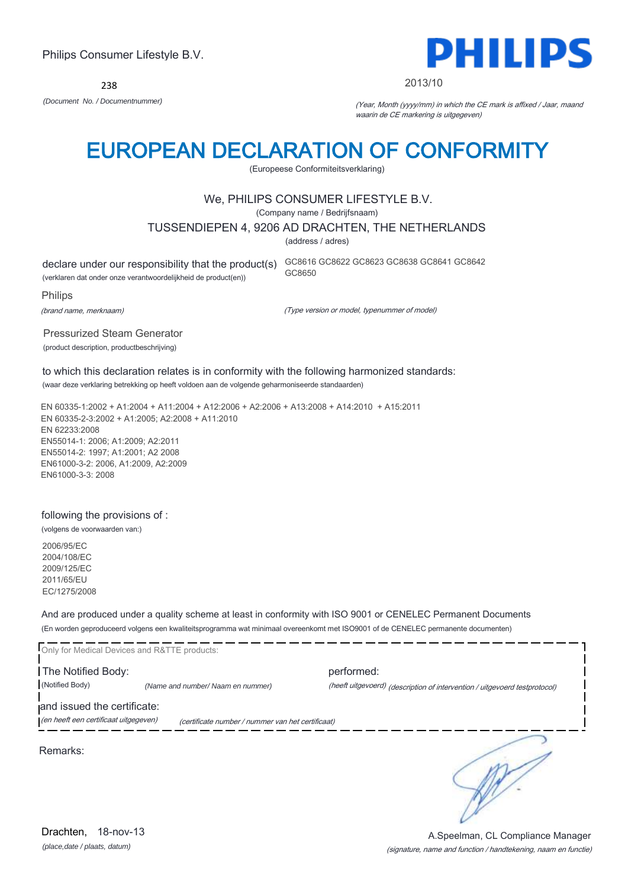238



#### 2013/10

*(Document No. / Documentnummer)* (Year, Month (yyyy/mm) in which the CE mark is affixed / Jaar, maand waarin de CE markering is uitgegeven)

# EUROPEAN DECLARATION OF CONFORMITY

(Europeese Conformiteitsverklaring)

## We, PHILIPS CONSUMER LIFESTYLE B.V.

(Company name / Bedrijfsnaam)

### TUSSENDIEPEN 4, 9206 AD DRACHTEN, THE NETHERLANDS

(address / adres)

GC8650

declare under our responsibility that the product(s) GC8616 GC8622 GC8623 GC8638 GC8641 GC8642

(verklaren dat onder onze verantwoordelijkheid de product(en))

Philips

(brand name, merknaam)

(Type version or model, typenummer of model)

Pressurized Steam Generator

(product description, productbeschrijving)

to which this declaration relates is in conformity with the following harmonized standards: (waar deze verklaring betrekking op heeft voldoen aan de volgende geharmoniseerde standaarden)

EN 60335-1:2002 + A1:2004 + A11:2004 + A12:2006 + A2:2006 + A13:2008 + A14:2010 + A15:2011 EN 60335-2-3:2002 + A1:2005; A2:2008 + A11:2010 EN 62233:2008 EN55014-1: 2006; A1:2009; A2:2011 EN55014-2: 1997; A1:2001; A2 2008 EN61000-3-2: 2006, A1:2009, A2:2009 EN61000-3-3: 2008

### following the provisions of :

(volgens de voorwaarden van:)

2006/95/EC 2004/108/EC 2009/125/EC 2011/65/EU EC/1275/2008

And are produced under a quality scheme at least in conformity with ISO 9001 or CENELEC Permanent Documents (En worden geproduceerd volgens een kwaliteitsprogramma wat minimaal overeenkomt met ISO9001 of de CENELEC permanente documenten)

|                                                                      | Only for Medical Devices and R&TTE products:      |                                                                            |
|----------------------------------------------------------------------|---------------------------------------------------|----------------------------------------------------------------------------|
| The Notified Body:                                                   |                                                   | performed:                                                                 |
| (Notified Body)                                                      | (Name and number/ Naam en nummer)                 | (heeft uitgevoerd) (description of intervention / uitgevoerd testprotocol) |
| and issued the certificate:<br>(en heeft een certificaat uitgegeven) | (certificate number / nummer van het certificaat) |                                                                            |
| Remarks:                                                             |                                                   |                                                                            |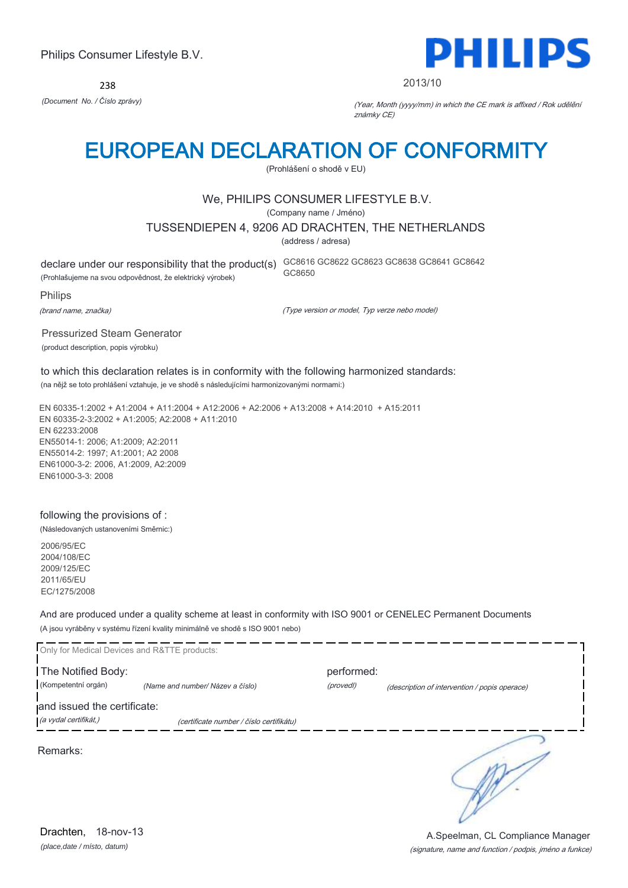238



#### 2013/10

*(Document No. / Číslo zprávy)* (Year, Month (yyyy/mm) in which the CE mark is affixed / Rok udělění známky CE)

# EUROPEAN DECLARATION OF CONFORMITY

(Prohlášení o shodě v EU)

## We, PHILIPS CONSUMER LIFESTYLE B.V.

(Company name / Jméno)

TUSSENDIEPEN 4, 9206 AD DRACHTEN, THE NETHERLANDS

(address / adresa)

declare under our responsibility that the product(s) GC8616 GC8622 GC8623 GC8638 GC8641 GC8642 (Prohlašujeme na svou odpovědnost, že elektrický výrobek)

GC8650

Philips

(brand name, značka)

(Type version or model, Typ verze nebo model)

Pressurized Steam Generator (product description, popis výrobku)

to which this declaration relates is in conformity with the following harmonized standards:

(na nějž se toto prohlášení vztahuje, je ve shodě s následujícími harmonizovanými normami:)

EN 60335-1:2002 + A1:2004 + A11:2004 + A12:2006 + A2:2006 + A13:2008 + A14:2010 + A15:2011 EN 60335-2-3:2002 + A1:2005; A2:2008 + A11:2010 EN 62233:2008 EN55014-1: 2006; A1:2009; A2:2011 EN55014-2: 1997; A1:2001; A2 2008 EN61000-3-2: 2006, A1:2009, A2:2009 EN61000-3-3: 2008

### following the provisions of :

(Následovaných ustanoveními Směrnic:)

2006/95/EC 2004/108/EC 2009/125/EC 2011/65/EU EC/1275/2008

And are produced under a quality scheme at least in conformity with ISO 9001 or CENELEC Permanent Documents (A jsou vyráběny v systému řízení kvality minimálně ve shodě s ISO 9001 nebo)

| Only for Medical Devices and R&TTE products: |                                          |                         |                                               |
|----------------------------------------------|------------------------------------------|-------------------------|-----------------------------------------------|
| The Notified Body:<br>(Kompetentní orgán)    | (Name and number/ Název a číslo)         | performed:<br>(provedl) | (description of intervention / popis operace) |
| and issued the certificate:                  |                                          |                         |                                               |
| (a vydal certifikát,)                        | (certificate number / číslo certifikátu) |                         |                                               |
| Remarks:                                     |                                          |                         |                                               |

*(place,date / místo, datum)* Drachten, 18-nov-13

### (signature, name and function / podpis, jméno a funkce) A.Speelman, CL Compliance Manager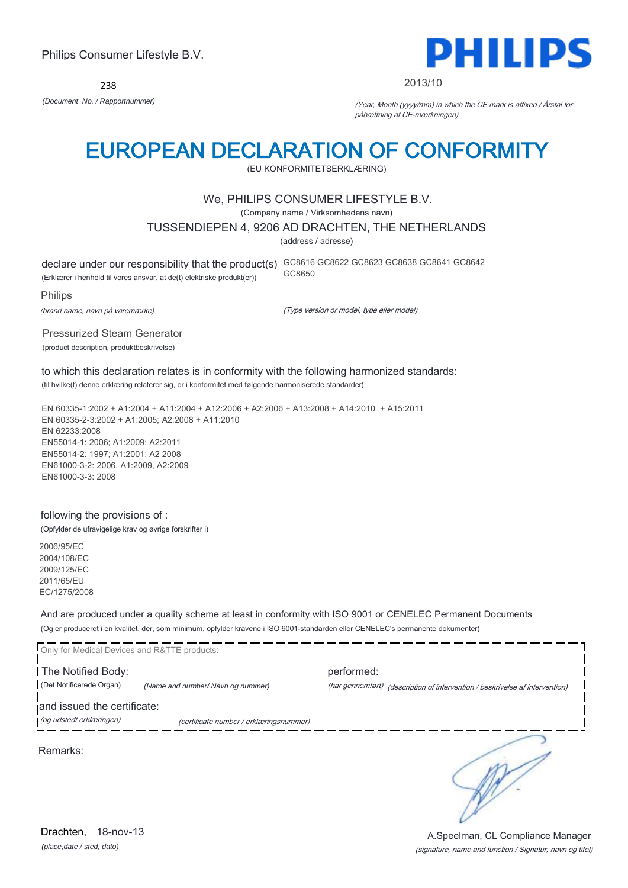238



#### 2013/10

*(Document No. / Rapportnummer)* (Year, Month (yyyy/mm) in which the CE mark is affixed / Årstal for påhæftning af CE-mærkningen)

# EUROPEAN DECLARATION OF CONFORMITY

(EU KONFORMITETSERKLÆRING)

## We, PHILIPS CONSUMER LIFESTYLE B.V.

(Company name / Virksomhedens navn)

### TUSSENDIEPEN 4, 9206 AD DRACHTEN, THE NETHERLANDS

(address / adresse)

declare under our responsibility that the product(s) GC8616 GC8622 GC8623 GC8638 GC8641 GC8642 (Erklærer i henhold til vores ansvar, at de(t) elektriske produkt(er)) GC8650

Philips

(brand name, navn på varemærke)

(Type version or model, type eller model)

Pressurized Steam Generator (product description, produktbeskrivelse)

to which this declaration relates is in conformity with the following harmonized standards: (til hvilke(t) denne erklæring relaterer sig, er i konformitet med følgende harmoniserede standarder)

EN 60335-1:2002 + A1:2004 + A11:2004 + A12:2006 + A2:2006 + A13:2008 + A14:2010 + A15:2011 EN 60335-2-3:2002 + A1:2005; A2:2008 + A11:2010 EN 62233:2008 EN55014-1: 2006; A1:2009; A2:2011 EN55014-2: 1997; A1:2001; A2 2008 EN61000-3-2: 2006, A1:2009, A2:2009 EN61000-3-3: 2008

### following the provisions of :

(Opfylder de ufravigelige krav og øvrige forskrifter i)

2006/95/EC 2004/108/EC 2009/125/EC 2011/65/EU EC/1275/2008

And are produced under a quality scheme at least in conformity with ISO 9001 or CENELEC Permanent Documents (Og er produceret i en kvalitet, der, som minimum, opfylder kravene i ISO 9001-standarden eller CENELEC's permanente dokumenter)

| Only for Medical Devices and R&TTE products: |                                         |            |                                                                              |
|----------------------------------------------|-----------------------------------------|------------|------------------------------------------------------------------------------|
| The Notified Body:                           |                                         | performed: |                                                                              |
| (Det Notificerede Organ)                     | (Name and number/ Navn og nummer)       |            | (har gennemført) (description of intervention / beskrivelse af intervention) |
| and issued the certificate:                  |                                         |            |                                                                              |
| (og udstedt erklæringen)                     | (certificate number / erklæringsnummer) |            |                                                                              |
|                                              |                                         |            |                                                                              |

Remarks: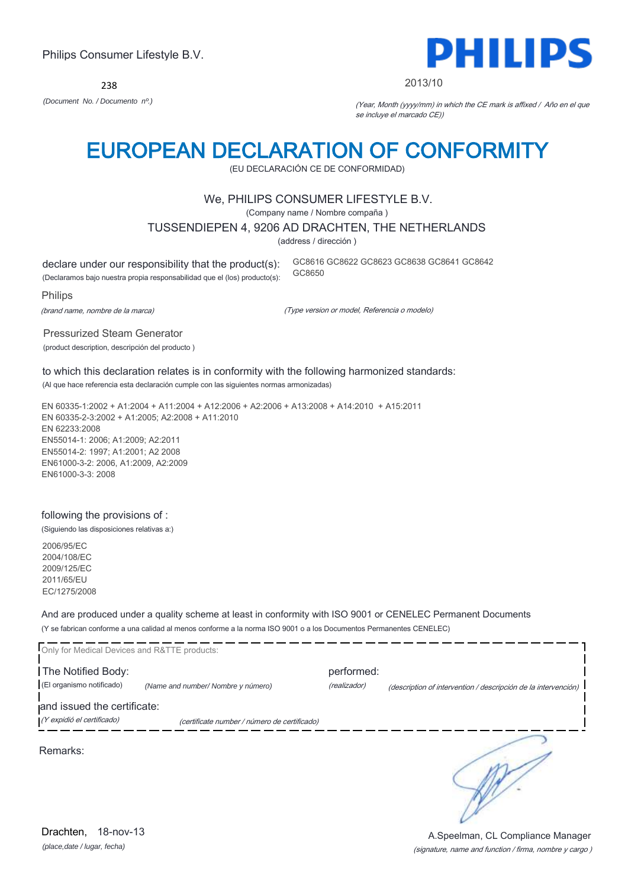238



#### 2013/10

*(Document No. / Documento nº.)* (Year, Month (yyyy/mm) in which the CE mark is affixed / Año en el que se incluye el marcado CE))

# EUROPEAN DECLARATION OF CONFORMITY

(EU DECLARACIÓN CE DE CONFORMIDAD)

## We, PHILIPS CONSUMER LIFESTYLE B.V.

(Company name / Nombre compaña )

### TUSSENDIEPEN 4, 9206 AD DRACHTEN, THE NETHERLANDS

(address / dirección )

GC8650

declare under our responsibility that the product(s):

(Declaramos bajo nuestra propia responsabilidad que el (los) producto(s):

Philips

(brand name, nombre de la marca)

(Type version or model, Referencia o modelo)

GC8616 GC8622 GC8623 GC8638 GC8641 GC8642

Pressurized Steam Generator

(product description, descripción del producto )

#### to which this declaration relates is in conformity with the following harmonized standards: (Al que hace referencia esta declaración cumple con las siguientes normas armonizadas)

EN 60335-1:2002 + A1:2004 + A11:2004 + A12:2006 + A2:2006 + A13:2008 + A14:2010 + A15:2011 EN 60335-2-3:2002 + A1:2005; A2:2008 + A11:2010 EN 62233:2008 EN55014-1: 2006; A1:2009; A2:2011 EN55014-2: 1997; A1:2001; A2 2008 EN61000-3-2: 2006, A1:2009, A2:2009 EN61000-3-3: 2008

### following the provisions of :

(Siguiendo las disposiciones relativas a:)

2006/95/EC 2004/108/EC 2009/125/EC 2011/65/EU EC/1275/2008

And are produced under a quality scheme at least in conformity with ISO 9001 or CENELEC Permanent Documents (Y se fabrican conforme a una calidad al menos conforme a la norma ISO 9001 o a los Documentos Permanentes CENELEC)

| Only for Medical Devices and R&TTE products:    |                                              |                            |                                                                |
|-------------------------------------------------|----------------------------------------------|----------------------------|----------------------------------------------------------------|
| The Notified Body:<br>(El organismo notificado) | (Name and number/ Nombre y número)           | performed:<br>(realizador) | (description of intervention / descripción de la intervención) |
| and issued the certificate:                     |                                              |                            |                                                                |
| (Y expidió el certificado)                      | (certificate number / número de certificado) |                            |                                                                |
| Remarks:                                        |                                              |                            |                                                                |

*(place,date / lugar, fecha)* Drachten, 18-nov-13

(signature, name and function / firma, nombre y cargo ) A.Speelman, CL Compliance Manager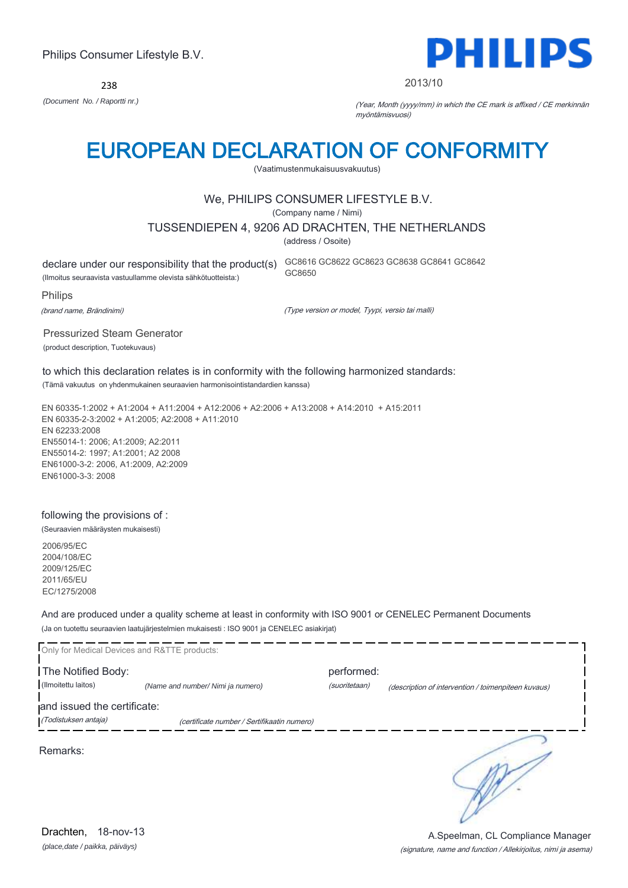238



2013/10

*(Document No. / Raportti nr.)* (Year, Month (yyyy/mm) in which the CE mark is affixed / CE merkinnän myöntämisvuosi)

# EUROPEAN DECLARATION OF CONFORMITY

(Vaatimustenmukaisuusvakuutus)

## We, PHILIPS CONSUMER LIFESTYLE B.V.

(Company name / Nimi)

TUSSENDIEPEN 4, 9206 AD DRACHTEN, THE NETHERLANDS

(address / Osoite)

declare under our responsibility that the product(s) GC8616 GC8622 GC8623 GC8638 GC8641 GC8642 (Ilmoitus seuraavista vastuullamme olevista sähkötuotteista:)

GC8650

Philips

(brand name, Brändinimi)

(Type version or model, Tyypi, versio tai malli)

Pressurized Steam Generator

(product description, Tuotekuvaus)

to which this declaration relates is in conformity with the following harmonized standards: (Tämä vakuutus on yhdenmukainen seuraavien harmonisointistandardien kanssa)

EN 60335-1:2002 + A1:2004 + A11:2004 + A12:2006 + A2:2006 + A13:2008 + A14:2010 + A15:2011 EN 60335-2-3:2002 + A1:2005; A2:2008 + A11:2010 EN 62233:2008 EN55014-1: 2006; A1:2009; A2:2011 EN55014-2: 1997; A1:2001; A2 2008 EN61000-3-2: 2006, A1:2009, A2:2009 EN61000-3-3: 2008

### following the provisions of :

(Seuraavien määräysten mukaisesti)

2006/95/EC 2004/108/EC 2009/125/EC 2011/65/EU EC/1275/2008

And are produced under a quality scheme at least in conformity with ISO 9001 or CENELEC Permanent Documents (Ja on tuotettu seuraavien laatujärjestelmien mukaisesti : ISO 9001 ja CENELEC asiakirjat)

| Only for Medical Devices and R&TTE products: |                                             |                             |                                                     |
|----------------------------------------------|---------------------------------------------|-----------------------------|-----------------------------------------------------|
| The Notified Body:<br>(Ilmoitettu laitos)    | (Name and number/ Nimi ja numero)           | performed:<br>(suoritetaan) | (description of intervention / toimenpiteen kuvaus) |
| and issued the certificate:                  |                                             |                             |                                                     |
| (Todistuksen antaja)                         | (certificate number / Sertifikaatin numero) |                             |                                                     |
| Remarks:                                     |                                             |                             |                                                     |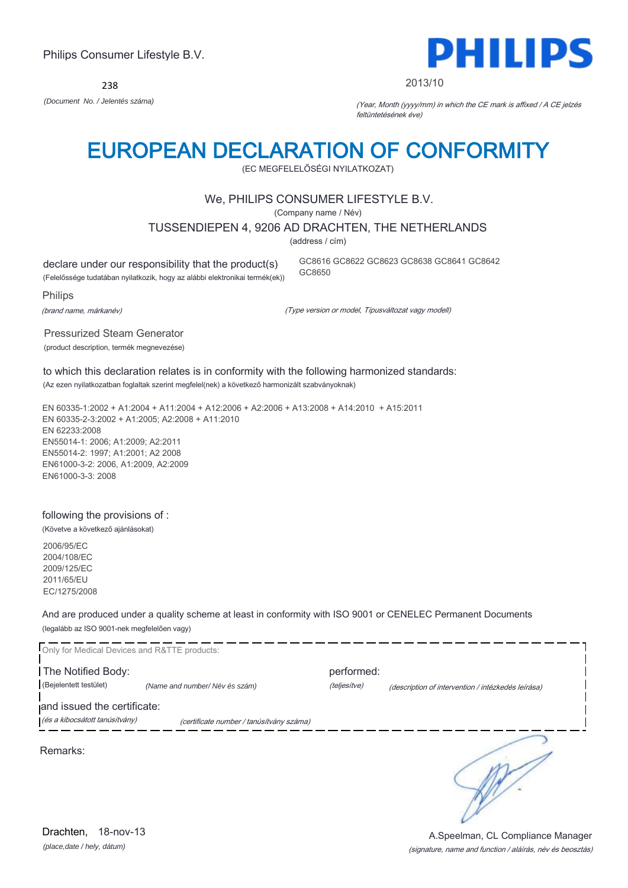238



#### 2013/10

*(Document No. / Jelentés száma)* (Year, Month (yyyy/mm) in which the CE mark is affixed / A CE jelzés feltüntetésének éve)

# EUROPEAN DECLARATION OF CONFORMITY

(EC MEGFELELŐSÉGI NYILATKOZAT)

## We, PHILIPS CONSUMER LIFESTYLE B.V.

(Company name / Név)

TUSSENDIEPEN 4, 9206 AD DRACHTEN, THE NETHERLANDS

(address / cím)

GC8650

declare under our responsibility that the product(s)

(Felelőssége tudatában nyilatkozik, hogy az alábbi elektronikai termék(ek))

Philips

(brand name, márkanév)

(Type version or model, Típusváltozat vagy modell)

GC8616 GC8622 GC8623 GC8638 GC8641 GC8642

Pressurized Steam Generator

(product description, termék megnevezése)

to which this declaration relates is in conformity with the following harmonized standards:

(Az ezen nyilatkozatban foglaltak szerint megfelel(nek) a következő harmonizált szabványoknak)

EN 60335-1:2002 + A1:2004 + A11:2004 + A12:2006 + A2:2006 + A13:2008 + A14:2010 + A15:2011 EN 60335-2-3:2002 + A1:2005; A2:2008 + A11:2010 EN 62233:2008 EN55014-1: 2006; A1:2009; A2:2011 EN55014-2: 1997; A1:2001; A2 2008 EN61000-3-2: 2006, A1:2009, A2:2009 EN61000-3-3: 2008

### following the provisions of :

(Követve a következő ajánlásokat)

2006/95/EC 2004/108/EC 2009/125/EC 2011/65/EU EC/1275/2008

And are produced under a quality scheme at least in conformity with ISO 9001 or CENELEC Permanent Documents (legalább az ISO 9001-nek megfelelően vagy)



*(place,date / hely, dátum)* Drachten, 18-nov-13

### (signature, name and function / aláírás, név és beosztás) A.Speelman, CL Compliance Manager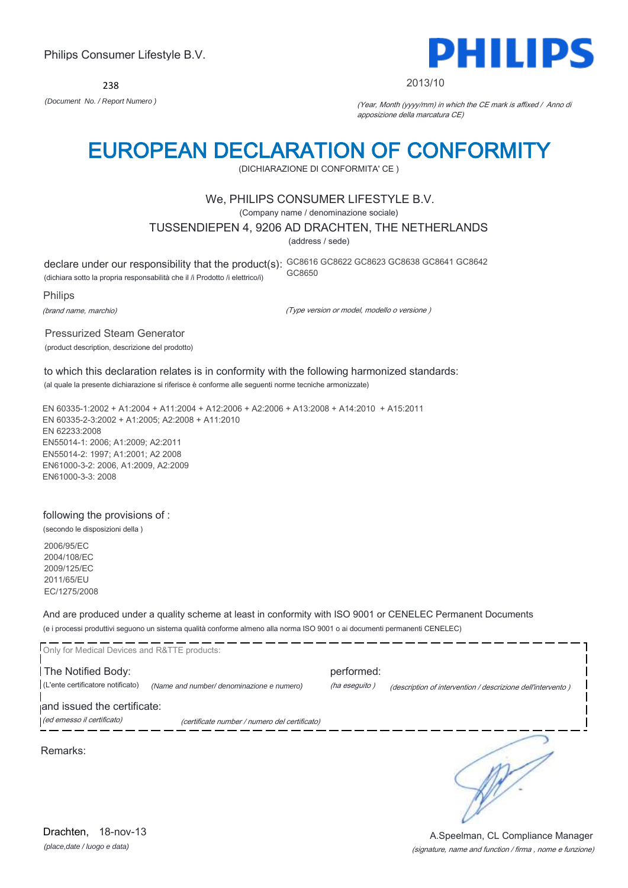238



#### 2013/10

*(Document No. / Report Numero )* (Year, Month (yyyy/mm) in which the CE mark is affixed / Anno di apposizione della marcatura CE)

# EUROPEAN DECLARATION OF CONFORMITY

(DICHIARAZIONE DI CONFORMITA' CE )

## We, PHILIPS CONSUMER LIFESTYLE B.V.

(Company name / denominazione sociale)

### TUSSENDIEPEN 4, 9206 AD DRACHTEN, THE NETHERLANDS

(address / sede)

declare under our responsibility that the product(s): GC8616 GC8622 GC8623 GC8638 GC8641 GC8642 GC8650

(dichiara sotto la propria responsabilità che il /i Prodotto /i elettrico/i)

Philips

(brand name, marchio)

(Type version or model, modello o versione )

Pressurized Steam Generator

(product description, descrizione del prodotto)

# to which this declaration relates is in conformity with the following harmonized standards:

(al quale la presente dichiarazione si riferisce è conforme alle seguenti norme tecniche armonizzate)

EN 60335-1:2002 + A1:2004 + A11:2004 + A12:2006 + A2:2006 + A13:2008 + A14:2010 + A15:2011 EN 60335-2-3:2002 + A1:2005; A2:2008 + A11:2010 EN 62233:2008 EN55014-1: 2006; A1:2009; A2:2011 EN55014-2: 1997; A1:2001; A2 2008 EN61000-3-2: 2006, A1:2009, A2:2009 EN61000-3-3: 2008

### following the provisions of :

(secondo le disposizioni della )

2006/95/EC 2004/108/EC 2009/125/EC 2011/65/EU EC/1275/2008

And are produced under a quality scheme at least in conformity with ISO 9001 or CENELEC Permanent Documents (e i processi produttivi seguono un sistema qualità conforme almeno alla norma ISO 9001 o ai documenti permanenti CENELEC)

| Only for Medical Devices and R&TTE products:            |                                               |                             |                                                             |
|---------------------------------------------------------|-----------------------------------------------|-----------------------------|-------------------------------------------------------------|
| The Notified Body:<br>(L'ente certificatore notificato) | (Name and number/ denominazione e numero)     | performed:<br>(ha eseguito) | (description of intervention / descrizione dell'intervento) |
| and issued the certificate:                             |                                               |                             |                                                             |
| (ed emesso il certificato)                              | (certificate number / numero del certificato) |                             |                                                             |
| Remarks:                                                |                                               |                             |                                                             |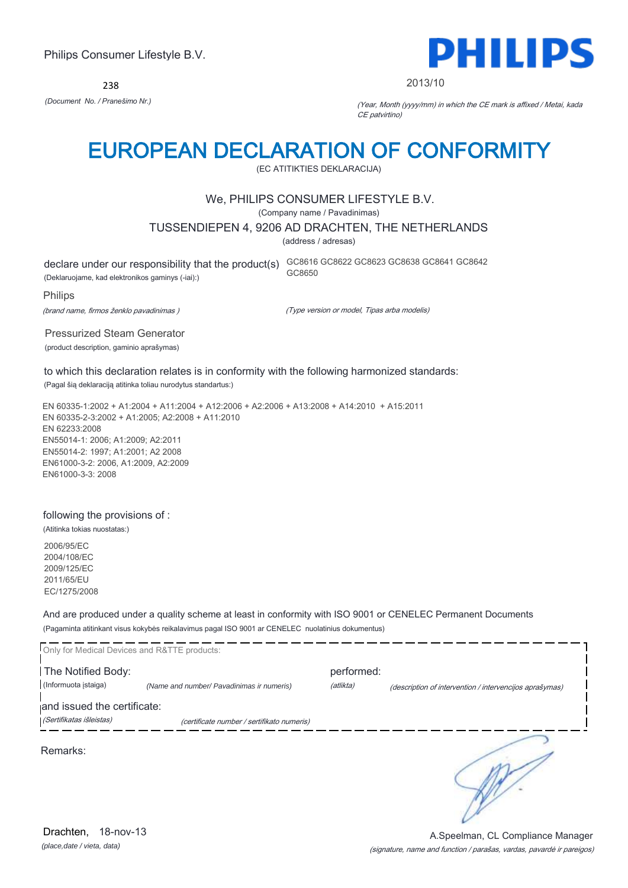238



#### 2013/10

*(Document No. / Pranešimo Nr.)* (Year, Month (yyyy/mm) in which the CE mark is affixed / Metai, kada CE patvirtino)

# EUROPEAN DECLARATION OF CONFORMITY

(EC ATITIKTIES DEKLARACIJA)

### We, PHILIPS CONSUMER LIFESTYLE B.V.

(Company name / Pavadinimas)

TUSSENDIEPEN 4, 9206 AD DRACHTEN, THE NETHERLANDS

(address / adresas)

declare under our responsibility that the product(s) GC8616 GC8622 GC8623 GC8638 GC8641 GC8642

GC8650

(Deklaruojame, kad elektronikos gaminys (-iai):)

Philips

(brand name, firmos ženklo pavadinimas )

(Type version or model, Tipas arba modelis)

Pressurized Steam Generator

(product description, gaminio aprašymas)

### to which this declaration relates is in conformity with the following harmonized standards:

(Pagal šią deklaraciją atitinka toliau nurodytus standartus:)

EN 60335-1:2002 + A1:2004 + A11:2004 + A12:2006 + A2:2006 + A13:2008 + A14:2010 + A15:2011 EN 60335-2-3:2002 + A1:2005; A2:2008 + A11:2010 EN 62233:2008 EN55014-1: 2006; A1:2009; A2:2011 EN55014-2: 1997; A1:2001; A2 2008 EN61000-3-2: 2006, A1:2009, A2:2009 EN61000-3-3: 2008

### following the provisions of :

(Atitinka tokias nuostatas:)

2006/95/EC 2004/108/EC 2009/125/EC 2011/65/EU EC/1275/2008

And are produced under a quality scheme at least in conformity with ISO 9001 or CENELEC Permanent Documents (Pagaminta atitinkant visus kokybės reikalavimus pagal ISO 9001 ar CENELEC nuolatinius dokumentus)

| Only for Medical Devices and R&TTE products: |                                            |            |                                                         |
|----------------------------------------------|--------------------------------------------|------------|---------------------------------------------------------|
| The Notified Body:                           |                                            | performed: |                                                         |
| (Informuota įstaiga)                         | (Name and number/ Pavadinimas ir numeris)  | (atlikta)  | (description of intervention / intervencijos aprašymas) |
| and issued the certificate:                  |                                            |            |                                                         |
| (Sertifikatas išleistas)                     | (certificate number / sertifikato numeris) |            |                                                         |
| Remarks:                                     |                                            |            |                                                         |

*(place,date / vieta, data)* Drachten, 18-nov-13

### (signature, name and function / parašas, vardas, pavardė ir pareigos) A.Speelman, CL Compliance Manager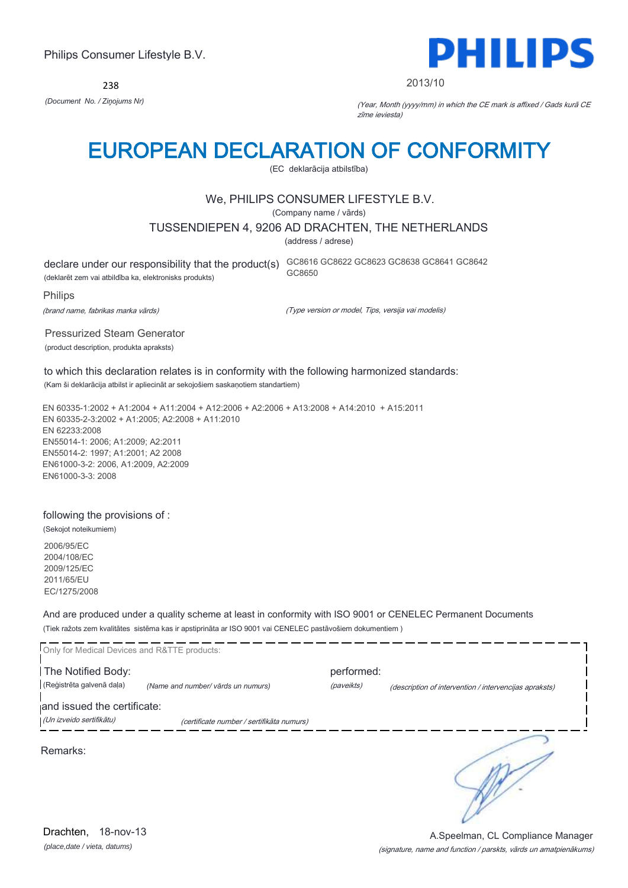238



#### 2013/10

*(Document No. / Ziņojums Nr)* (Year, Month (yyyy/mm) in which the CE mark is affixed / Gads kurā CE zīme ieviesta)

# EUROPEAN DECLARATION OF CONFORMITY

(EC deklarācija atbilstība)

## We, PHILIPS CONSUMER LIFESTYLE B.V.

(Company name / vārds)

TUSSENDIEPEN 4, 9206 AD DRACHTEN, THE NETHERLANDS

(address / adrese)

declare under our responsibility that the product(s) GC8616 GC8622 GC8623 GC8638 GC8641 GC8642 (deklarēt zem vai atbildība ka, elektronisks produkts)

GC8650

Philips

(brand name, fabrikas marka vārds)

(Type version or model, Tips, versija vai modelis)

Pressurized Steam Generator

(product description, produkta apraksts)

to which this declaration relates is in conformity with the following harmonized standards: (Kam ši deklarācija atbilst ir apliecināt ar sekojošiem saskaņotiem standartiem)

EN 60335-1:2002 + A1:2004 + A11:2004 + A12:2006 + A2:2006 + A13:2008 + A14:2010 + A15:2011 EN 60335-2-3:2002 + A1:2005; A2:2008 + A11:2010 EN 62233:2008 EN55014-1: 2006; A1:2009; A2:2011 EN55014-2: 1997; A1:2001; A2 2008 EN61000-3-2: 2006, A1:2009, A2:2009 EN61000-3-3: 2008

### following the provisions of :

(Sekojot noteikumiem) 2006/95/EC 2004/108/EC 2009/125/EC 2011/65/EU

EC/1275/2008

And are produced under a quality scheme at least in conformity with ISO 9001 or CENELEC Permanent Documents (Tiek ražots zem kvalitātes sistēma kas ir apstiprināta ar ISO 9001 vai CENELEC pastāvošiem dokumentiem )

| Only for Medical Devices and R&TTE products:            |                                           |                          |                                                        |
|---------------------------------------------------------|-------------------------------------------|--------------------------|--------------------------------------------------------|
| The Notified Body:<br>(Reģistrēta galvenā daļa)         | (Name and number/ vārds un numurs)        | performed:<br>(paveikts) | (description of intervention / intervencijas apraksts) |
| and issued the certificate:<br>(Un izveido sertifikātu) | (certificate number / sertifikāta numurs) |                          |                                                        |
| Remarks:                                                |                                           |                          |                                                        |
|                                                         |                                           |                          |                                                        |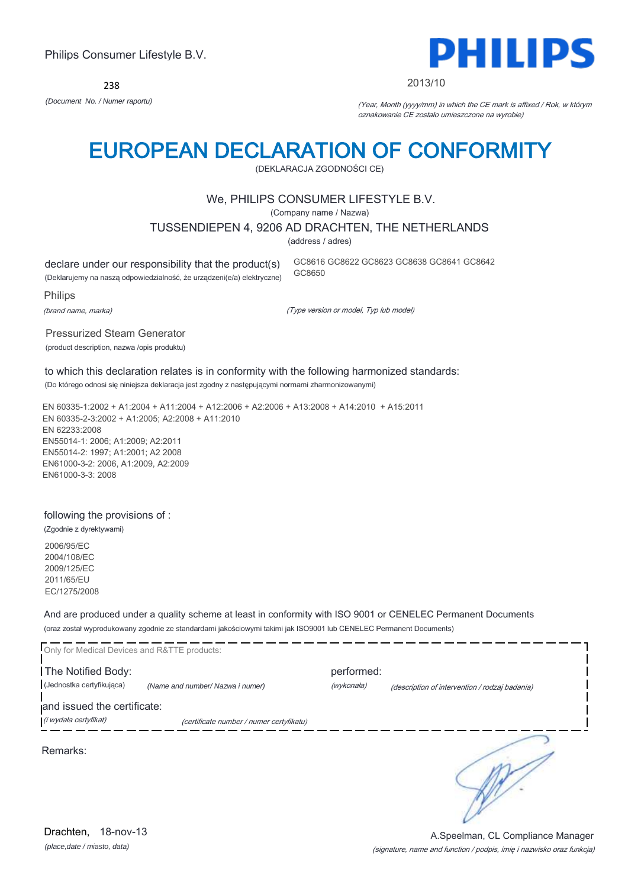238



#### 2013/10

*(Document No. / Numer raportu)* (Year, Month (yyyy/mm) in which the CE mark is affixed / Rok, w którym oznakowanie CE zostało umieszczone na wyrobie)

# EUROPEAN DECLARATION OF CONFORMITY

(DEKLARACJA ZGODNOŚCI CE)

## We, PHILIPS CONSUMER LIFESTYLE B.V.

(Company name / Nazwa)

TUSSENDIEPEN 4, 9206 AD DRACHTEN, THE NETHERLANDS

(address / adres)

GC8650

declare under our responsibility that the product(s)

(Deklarujemy na naszą odpowiedzialność, że urządzeni(e/a) elektryczne)

Philips

(brand name, marka)

(Type version or model, Typ lub model)

GC8616 GC8622 GC8623 GC8638 GC8641 GC8642

Pressurized Steam Generator

(product description, nazwa /opis produktu)

# to which this declaration relates is in conformity with the following harmonized standards:

(Do którego odnosi się niniejsza deklaracja jest zgodny z następującymi normami zharmonizowanymi)

EN 60335-1:2002 + A1:2004 + A11:2004 + A12:2006 + A2:2006 + A13:2008 + A14:2010 + A15:2011 EN 60335-2-3:2002 + A1:2005; A2:2008 + A11:2010 EN 62233:2008 EN55014-1: 2006; A1:2009; A2:2011 EN55014-2: 1997; A1:2001; A2 2008 EN61000-3-2: 2006, A1:2009, A2:2009 EN61000-3-3: 2008

### following the provisions of :

(Zgodnie z dyrektywami) 2006/95/EC 2004/108/EC 2009/125/EC 2011/65/EU EC/1275/2008

And are produced under a quality scheme at least in conformity with ISO 9001 or CENELEC Permanent Documents (oraz został wyprodukowany zgodnie ze standardami jakościowymi takimi jak ISO9001 lub CENELEC Permanent Documents)

| Only for Medical Devices and R&TTE products:                |                                          |                          |                                                |
|-------------------------------------------------------------|------------------------------------------|--------------------------|------------------------------------------------|
| The Notified Body:<br>(Jednostka certyfikująca)             | (Name and number/ Nazwa i numer)         | performed:<br>(wykonała) | (description of intervention / rodzaj badania) |
| and issued the certificate:<br><i>(i wydała certyfikat)</i> | (certificate number / numer certyfikatu) |                          |                                                |
| Remarks:                                                    |                                          |                          |                                                |

*(place,date / miasto, data)* Drachten, 18-nov-13

### (signature, name and function / podpis, imię i nazwisko oraz funkcja) A.Speelman, CL Compliance Manager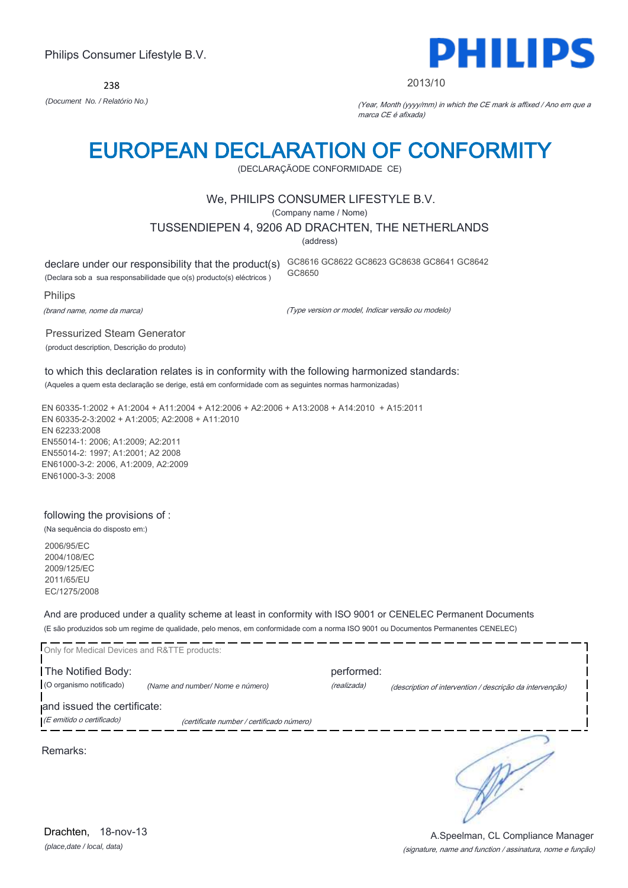238



#### 2013/10

*(Document No. / Relatório No.)* (Year, Month (yyyy/mm) in which the CE mark is affixed / Ano em que a marca CE é afixada)

# EUROPEAN DECLARATION OF CONFORMITY

(DECLARAÇÃODE CONFORMIDADE CE)

## We, PHILIPS CONSUMER LIFESTYLE B.V.

(Company name / Nome)

### TUSSENDIEPEN 4, 9206 AD DRACHTEN, THE NETHERLANDS

(address)

GC8650

declare under our responsibility that the product(s) GC8616 GC8622 GC8623 GC8638 GC8641 GC8642

(Declara sob a sua responsabilidade que o(s) producto(s) eléctricos )

Philips

(brand name, nome da marca)

Pressurized Steam Generator (product description, Descrição do produto) (Type version or model, Indicar versão ou modelo)

to which this declaration relates is in conformity with the following harmonized standards:

(Aqueles a quem esta declaração se derige, está em conformidade com as seguintes normas harmonizadas)

EN 60335-1:2002 + A1:2004 + A11:2004 + A12:2006 + A2:2006 + A13:2008 + A14:2010 + A15:2011 EN 60335-2-3:2002 + A1:2005; A2:2008 + A11:2010 EN 62233:2008 EN55014-1: 2006; A1:2009; A2:2011 EN55014-2: 1997; A1:2001; A2 2008 EN61000-3-2: 2006, A1:2009, A2:2009 EN61000-3-3: 2008

### following the provisions of :

(Na sequência do disposto em:) 2006/95/EC

2004/108/EC 2009/125/EC 2011/65/EU EC/1275/2008

And are produced under a quality scheme at least in conformity with ISO 9001 or CENELEC Permanent Documents (E são produzidos sob um regime de qualidade, pelo menos, em conformidade com a norma ISO 9001 ou Documentos Permanentes CENELEC)

| Only for Medical Devices and R&TTE products: |                                           |             |                                                          |
|----------------------------------------------|-------------------------------------------|-------------|----------------------------------------------------------|
| The Notified Body:                           |                                           | performed:  |                                                          |
| (O organismo notificado)                     | (Name and number/ Nome e número)          | (realizada) | (description of intervention / descrição da intervenção) |
| and issued the certificate:                  |                                           |             |                                                          |
| (E emitido o certificado)                    | (certificate number / certificado número) |             |                                                          |
| Remarks:                                     |                                           |             |                                                          |

(signature, name and function / assinatura, nome e função) A.Speelman, CL Compliance Manager

*(place,date / local, data)* Drachten, 18-nov-13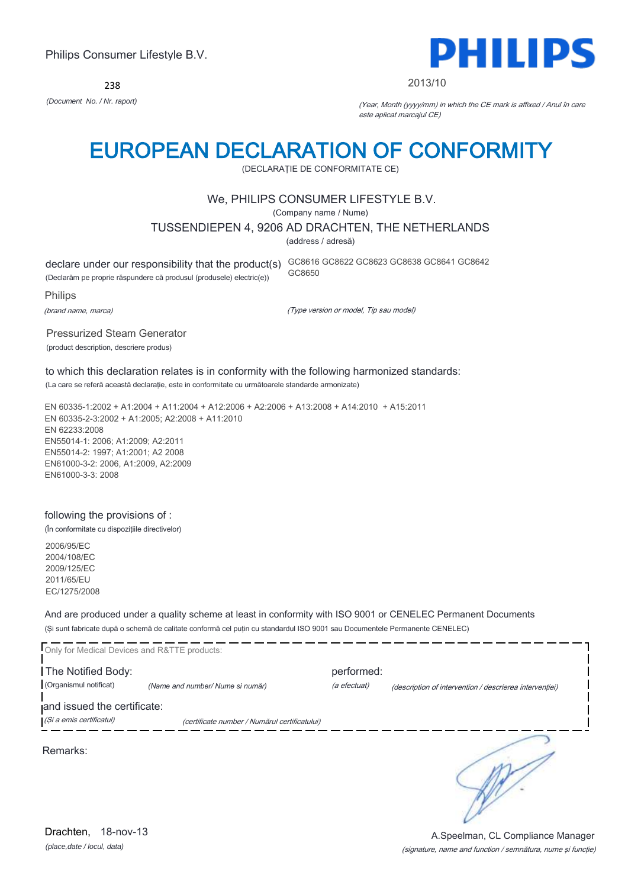238



#### 2013/10

*(Document No. / Nr. raport)* (Year, Month (yyyy/mm) in which the CE mark is affixed / Anul în care este aplicat marcajul CE)

# EUROPEAN DECLARATION OF CONFORMITY

(DECLARAŢIE DE CONFORMITATE CE)

## We, PHILIPS CONSUMER LIFESTYLE B.V.

(Company name / Nume)

TUSSENDIEPEN 4, 9206 AD DRACHTEN, THE NETHERLANDS

(address / adresă)

declare under our responsibility that the product(s) GC8616 GC8622 GC8623 GC8638 GC8641 GC8642 (Declarăm pe proprie răspundere că produsul (produsele) electric(e))

GC8650

Philips

(brand name, marca)

(Type version or model, Tip sau model)

Pressurized Steam Generator

(product description, descriere produs)

to which this declaration relates is in conformity with the following harmonized standards: (La care se referă această declaraţie, este in conformitate cu următoarele standarde armonizate)

EN 60335-1:2002 + A1:2004 + A11:2004 + A12:2006 + A2:2006 + A13:2008 + A14:2010 + A15:2011 EN 60335-2-3:2002 + A1:2005; A2:2008 + A11:2010 EN 62233:2008 EN55014-1: 2006; A1:2009; A2:2011 EN55014-2: 1997; A1:2001; A2 2008 EN61000-3-2: 2006, A1:2009, A2:2009 EN61000-3-3: 2008

### following the provisions of :

(În conformitate cu dispoziţiile directivelor)

2006/95/EC 2004/108/EC 2009/125/EC 2011/65/EU EC/1275/2008

And are produced under a quality scheme at least in conformity with ISO 9001 or CENELEC Permanent Documents (Şi sunt fabricate după o schemă de calitate conformă cel puţin cu standardul ISO 9001 sau Documentele Permanente CENELEC)

| Only for Medical Devices and R&TTE products: |                                               |              |                                                         |
|----------------------------------------------|-----------------------------------------------|--------------|---------------------------------------------------------|
| The Notified Body:                           |                                               | performed:   |                                                         |
| (Organismul notificat)                       | (Name and number/ Nume si număr)              | (a efectuat) | (description of intervention / descrierea interventiei) |
| and issued the certificate:                  |                                               |              |                                                         |
| (Și a emis certificatul)                     | (certificate number / Numărul certificatului) |              |                                                         |
| Remarks:                                     |                                               |              |                                                         |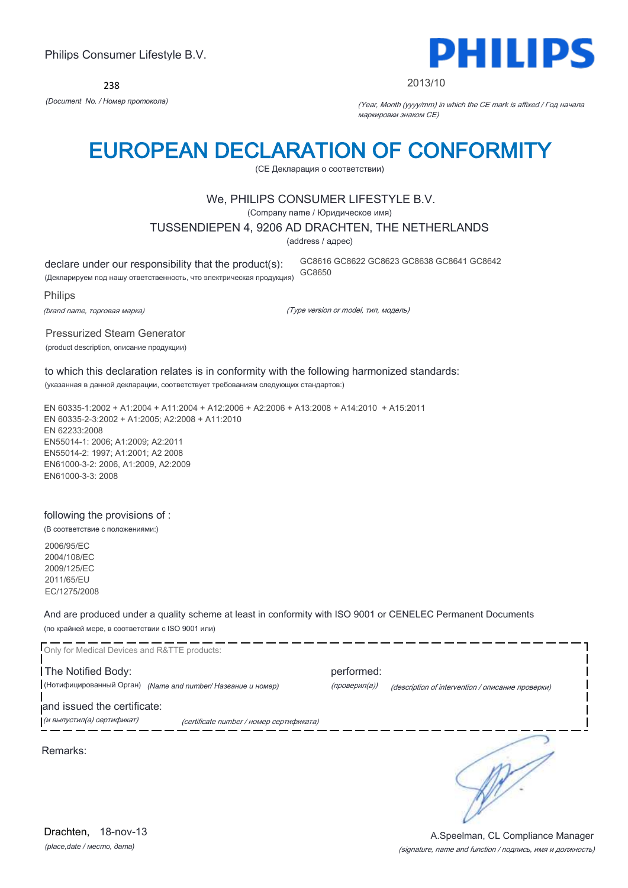238



#### 2013/10

*(Document No. / Номер протокола)* (Year, Month (yyyy/mm) in which the CE mark is affixed / Год начала маркировки знаком CE)

# EUROPEAN DECLARATION OF CONFORMITY

(CE Декларация о соответствии)

## We, PHILIPS CONSUMER LIFESTYLE B.V.

(Company name / Юридическое имя)

### TUSSENDIEPEN 4, 9206 AD DRACHTEN, THE NETHERLANDS

(address / адрес)

GC8650

declare under our responsibility that the product(s):

(Декларируем под нашу ответственность, что электрическая продукция)

Philips

(brand name, торговая марка)

(Type version or model, тип, модель)

GC8616 GC8622 GC8623 GC8638 GC8641 GC8642

Pressurized Steam Generator

(product description, описание продукции)

to which this declaration relates is in conformity with the following harmonized standards: (указанная в данной декларации, соответствует требованиям следующих стандартов:)

EN 60335-1:2002 + A1:2004 + A11:2004 + A12:2006 + A2:2006 + A13:2008 + A14:2010 + A15:2011 EN 60335-2-3:2002 + A1:2005; A2:2008 + A11:2010 EN 62233:2008 EN55014-1: 2006; A1:2009; A2:2011 EN55014-2: 1997; A1:2001; A2 2008 EN61000-3-2: 2006, A1:2009, A2:2009 EN61000-3-3: 2008

### following the provisions of :

(В соответствие с положениями:)

2006/95/EC 2004/108/EC 2009/125/EC 2011/65/EU EC/1275/2008

And are produced under a quality scheme at least in conformity with ISO 9001 or CENELEC Permanent Documents (по крайней мере, в соответствии с ISO 9001 или)

Only for Medical Devices and R&TTE products: The Notified Body: performed: (Нотифицированный Орган) *(Name and number/ Название и номер)* (проверил(а)) (description of intervention / описание проверки) and issued the certificate: (и выпустил(а) сертификат) (certificate number / номер сертификата) ∍ Remarks:

*(place,date / место, дата)* Drachten, 18-nov-13

### (signature, name and function / подпись, имя и должность) A.Speelman, CL Compliance Manager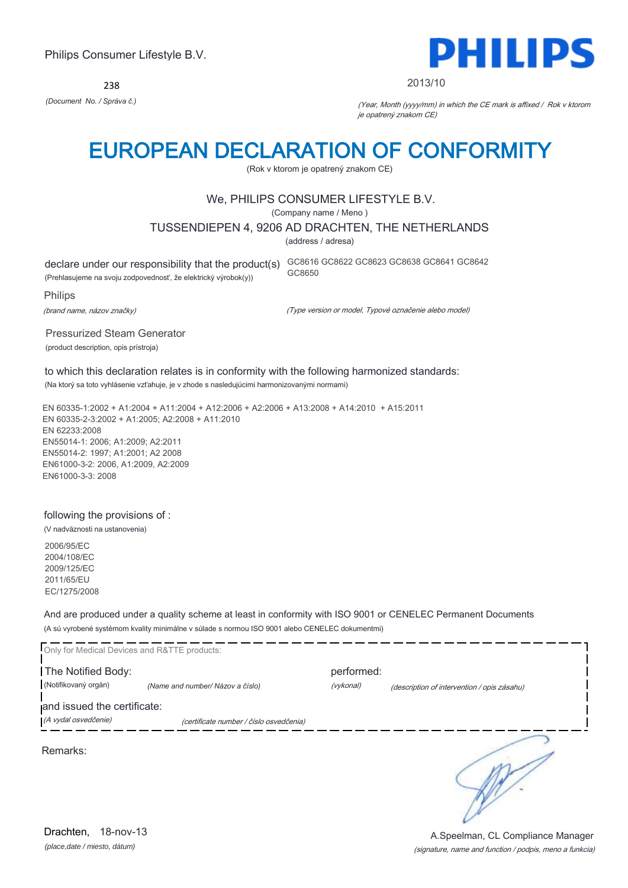238



#### 2013/10

*(Document No. / Správa č.)* (Year, Month (yyyy/mm) in which the CE mark is affixed / Rok v ktorom je opatrený znakom CE)

# EUROPEAN DECLARATION OF CONFORMITY

(Rok v ktorom je opatrený znakom CE)

## We, PHILIPS CONSUMER LIFESTYLE B.V.

(Company name / Meno )

### TUSSENDIEPEN 4, 9206 AD DRACHTEN, THE NETHERLANDS

(address / adresa)

declare under our responsibility that the product(s) GC8616 GC8622 GC8623 GC8638 GC8641 GC8642 (Prehlasujeme na svoju zodpovednosť, že elektrický výrobok(y))

GC8650

Philips

(brand name, názov značky)

(Type version or model, Typové označenie alebo model)

Pressurized Steam Generator (product description, opis prístroja)

to which this declaration relates is in conformity with the following harmonized standards: (Na ktorý sa toto vyhlásenie vzťahuje, je v zhode s nasledujúcimi harmonizovanými normami)

EN 60335-1:2002 + A1:2004 + A11:2004 + A12:2006 + A2:2006 + A13:2008 + A14:2010 + A15:2011 EN 60335-2-3:2002 + A1:2005; A2:2008 + A11:2010 EN 62233:2008 EN55014-1: 2006; A1:2009; A2:2011 EN55014-2: 1997; A1:2001; A2 2008 EN61000-3-2: 2006, A1:2009, A2:2009 EN61000-3-3: 2008

### following the provisions of :

(V nadväznosti na ustanovenia)

2006/95/EC 2004/108/EC 2009/125/EC 2011/65/EU EC/1275/2008

And are produced under a quality scheme at least in conformity with ISO 9001 or CENELEC Permanent Documents (A sú vyrobené systémom kvality minimálne v súlade s normou ISO 9001 alebo CENELEC dokumentmi)

| Only for Medical Devices and R&TTE products:        |                                         |                         |                                             |
|-----------------------------------------------------|-----------------------------------------|-------------------------|---------------------------------------------|
| The Notified Body:<br>(Notifikovaný orgán)          | (Name and number/ Názov a číslo)        | performed:<br>(vykonal) | (description of intervention / opis zásahu) |
| and issued the certificate:<br>(A vydal osvedčenie) | (certificate number / číslo osvedčenia) |                         |                                             |
| Remarks:                                            |                                         |                         |                                             |
|                                                     |                                         |                         |                                             |
|                                                     |                                         |                         |                                             |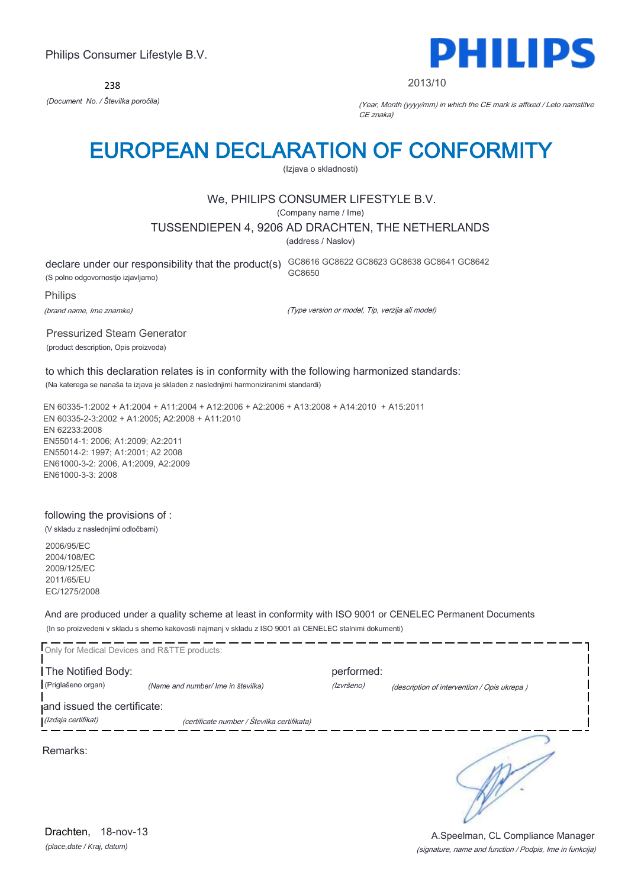238



#### 2013/10

*(Document No. / Številka poročila)* (Year, Month (yyyy/mm) in which the CE mark is affixed / Leto namstitve CE znaka)

# EUROPEAN DECLARATION OF CONFORMITY

(Izjava o skladnosti)

## We, PHILIPS CONSUMER LIFESTYLE B.V.

(Company name / Ime)

### TUSSENDIEPEN 4, 9206 AD DRACHTEN, THE NETHERLANDS

(address / Naslov)

declare under our responsibility that the product(s) GC8616 GC8622 GC8623 GC8638 GC8641 GC8642 (S polno odgovornostjo izjavljamo)

GC8650

Philips

(brand name, Ime znamke)

(Type version or model, Tip, verzija ali model)

Pressurized Steam Generator (product description, Opis proizvoda)

to which this declaration relates is in conformity with the following harmonized standards: (Na katerega se nanaša ta izjava je skladen z naslednjimi harmoniziranimi standardi)

EN 60335-1:2002 + A1:2004 + A11:2004 + A12:2006 + A2:2006 + A13:2008 + A14:2010 + A15:2011 EN 60335-2-3:2002 + A1:2005; A2:2008 + A11:2010 EN 62233:2008 EN55014-1: 2006; A1:2009; A2:2011 EN55014-2: 1997; A1:2001; A2 2008 EN61000-3-2: 2006, A1:2009, A2:2009 EN61000-3-3: 2008

### following the provisions of :

(V skladu z naslednjimi odločbami)

2006/95/EC 2004/108/EC 2009/125/EC 2011/65/EU EC/1275/2008

And are produced under a quality scheme at least in conformity with ISO 9001 or CENELEC Permanent Documents (In so proizvedeni v skladu s shemo kakovosti najmanj v skladu z ISO 9001 ali CENELEC stalnimi dokumenti)

| Only for Medical Devices and R&TTE products:       |                                             |                          |                                             |
|----------------------------------------------------|---------------------------------------------|--------------------------|---------------------------------------------|
| The Notified Body:<br>(Priglašeno organ)           | (Name and number/ Ime in številka)          | performed:<br>(Izvršeno) | (description of intervention / Opis ukrepa) |
| and issued the certificate:<br>(Izdaja certifikat) | (certificate number / Številka certifikata) |                          |                                             |
| Remarks:                                           |                                             |                          |                                             |
|                                                    |                                             |                          |                                             |

*(place,date / Kraj, datum)* Drachten, 18-nov-13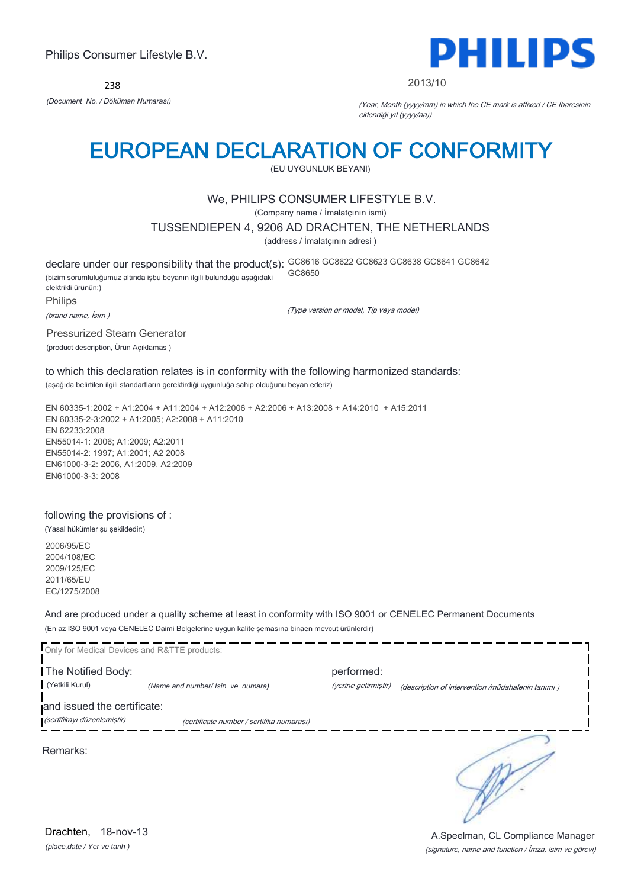238



#### 2013/10

*(Document No. / Döküman Numarası)* (Year, Month (yyyy/mm) in which the CE mark is affixed / CE İbaresinin eklendiği yıl (yyyy/aa))

# EUROPEAN DECLARATION OF CONFORMITY

(EU UYGUNLUK BEYANI)

## We, PHILIPS CONSUMER LIFESTYLE B.V.

(Company name / İmalatçının ismi)

### TUSSENDIEPEN 4, 9206 AD DRACHTEN, THE NETHERLANDS

(address / İmalatçının adresi )

(Type version or model, Tip veya model)

declare under our responsibility that the product(s): GC8616 GC8622 GC8623 GC8638 GC8641 GC8642 (bizim sorumluluğumuz altında işbu beyanın ilgili bulunduğu aşağıdaki GC8650

elektrikli ürünün:)

Philips

(brand name, İsim )

Pressurized Steam Generator

(product description, Ürün Açıklamas )

to which this declaration relates is in conformity with the following harmonized standards:

(aşağıda belirtilen ilgili standartların gerektirdiği uygunluğa sahip olduğunu beyan ederiz)

EN 60335-1:2002 + A1:2004 + A11:2004 + A12:2006 + A2:2006 + A13:2008 + A14:2010 + A15:2011 EN 60335-2-3:2002 + A1:2005; A2:2008 + A11:2010 EN 62233:2008 EN55014-1: 2006; A1:2009; A2:2011 EN55014-2: 1997; A1:2001; A2 2008 EN61000-3-2: 2006, A1:2009, A2:2009 EN61000-3-3: 2008

### following the provisions of :

(Yasal hükümler şu şekildedir:)

2006/95/EC 2004/108/EC 2009/125/EC 2011/65/EU EC/1275/2008

And are produced under a quality scheme at least in conformity with ISO 9001 or CENELEC Permanent Documents (En az ISO 9001 veya CENELEC Daimi Belgelerine uygun kalite şemasına binaen mevcut ürünlerdir)



(signature, name and function / İmza, isim ve görevi) A.Speelman, CL Compliance Manager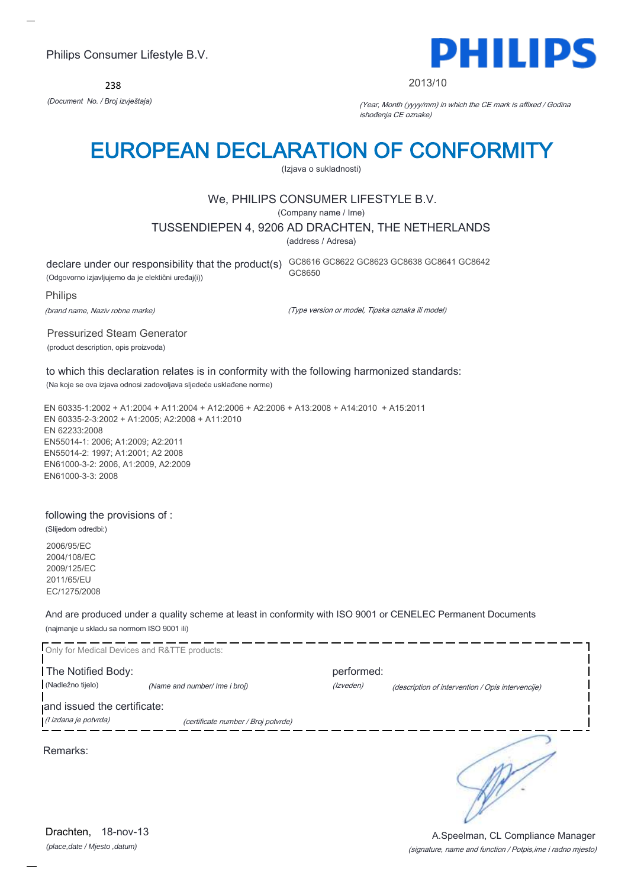238



#### 2013/10

*(Document No. / Broj izvještaja)* (Year, Month (yyyy/mm) in which the CE mark is affixed / Godina ishođenja CE oznake)

# EUROPEAN DECLARATION OF CONFORMITY

(Izjava o sukladnosti)

## We, PHILIPS CONSUMER LIFESTYLE B.V.

(Company name / Ime)

TUSSENDIEPEN 4, 9206 AD DRACHTEN, THE NETHERLANDS

(address / Adresa)

declare under our responsibility that the product(s) GC8616 GC8622 GC8623 GC8638 GC8641 GC8642 (Odgovorno izjavljujemo da je elektični uređaj(i)) GC8650

Philips

(brand name, Naziv robne marke)

(Type version or model, Tipska oznaka ili model)

Pressurized Steam Generator

(product description, opis proizvoda)

to which this declaration relates is in conformity with the following harmonized standards: (Na koje se ova izjava odnosi zadovoljava sljedeće usklađene norme)

EN 60335-1:2002 + A1:2004 + A11:2004 + A12:2006 + A2:2006 + A13:2008 + A14:2010 + A15:2011 EN 60335-2-3:2002 + A1:2005; A2:2008 + A11:2010 EN 62233:2008 EN55014-1: 2006; A1:2009; A2:2011 EN55014-2: 1997; A1:2001; A2 2008 EN61000-3-2: 2006, A1:2009, A2:2009 EN61000-3-3: 2008

### following the provisions of :

(Slijedom odredbi:) 2006/95/EC 2004/108/EC 2009/125/EC 2011/65/EU EC/1275/2008

And are produced under a quality scheme at least in conformity with ISO 9001 or CENELEC Permanent Documents (najmanje u skladu sa normom ISO 9001 ili)

| Only for Medical Devices and R&TTE products: |                                     |            |                                                   |
|----------------------------------------------|-------------------------------------|------------|---------------------------------------------------|
| The Notified Body:                           |                                     | performed: |                                                   |
| (Nadležno tijelo)                            | (Name and number/ Ime i broj)       | (Izveden)  | (description of intervention / Opis intervencije) |
| and issued the certificate:                  |                                     |            |                                                   |
| (l izdana je potvrda)                        | (certificate number / Broj potvrde) |            |                                                   |
| Remarks:                                     |                                     |            |                                                   |

*(place,date / Mjesto ,datum)* Drachten, 18-nov-13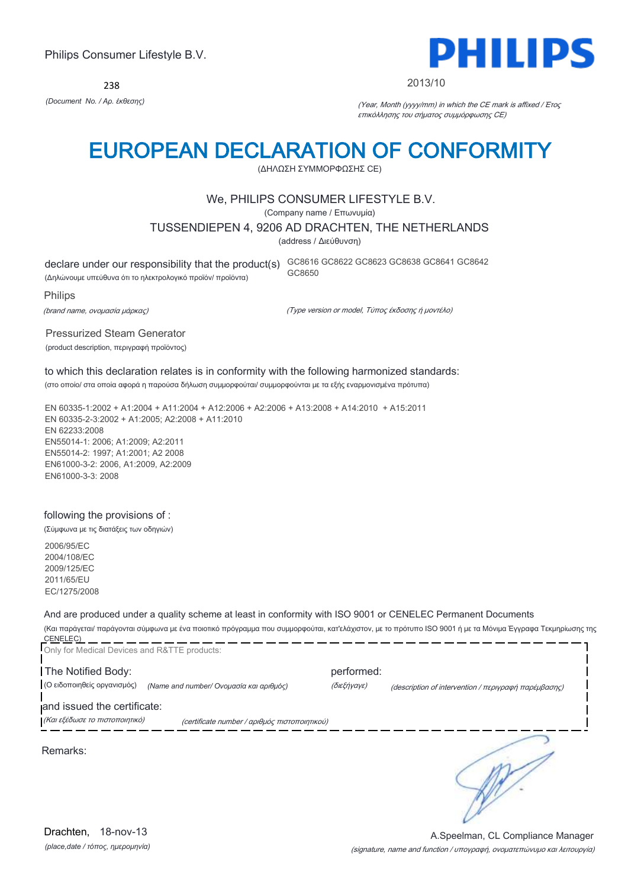238



#### 2013/10

*(Document No. / Αρ. έκθεσης)* (Year, Month (yyyy/mm) in which the CE mark is affixed / Έτος επικόλλησης του σήματος συμμόρφωσης CE)

# EUROPEAN DECLARATION OF CONFORMITY

(ΔΗΛΩΣΗ ΣΥΜΜΟΡΦΩΣΗΣ CE)

## We, PHILIPS CONSUMER LIFESTYLE B.V.

(Company name / Επωνυμία)

TUSSENDIEPEN 4, 9206 AD DRACHTEN, THE NETHERLANDS

(address / Διεύθυνση)

GC8650

declare under our responsibility that the product(s) GC8616 GC8622 GC8623 GC8638 GC8641 GC8642

(Δηλώνουμε υπεύθυνα ότι το ηλεκτρολογικό προϊόν/ προϊόντα)

Philips

(brand name, ονομασία μάρκας)

Pressurized Steam Generator (product description, περιγραφή προϊόντος) (Type version or model, Τύπος έκδοσης ή μοντέλο)

to which this declaration relates is in conformity with the following harmonized standards:

(στο οποίο/ στα οποία αφορά η παρούσα δήλωση συμμορφούται/ συμμορφούνται με τα εξής εναρμονισμένα πρότυπα)

EN 60335-1:2002 + A1:2004 + A11:2004 + A12:2006 + A2:2006 + A13:2008 + A14:2010 + A15:2011 EN 60335-2-3:2002 + A1:2005; A2:2008 + A11:2010 EN 62233:2008 EN55014-1: 2006; A1:2009; A2:2011 EN55014-2: 1997; A1:2001; A2 2008 EN61000-3-2: 2006, A1:2009, A2:2009 EN61000-3-3: 2008

### following the provisions of :

(Σύμφωνα με τις διατάξεις των οδηγιών)

2006/95/EC 2004/108/EC 2009/125/EC 2011/65/EU EC/1275/2008

And are produced under a quality scheme at least in conformity with ISO 9001 or CENELEC Permanent Documents

(Και παράγεται/ παράγονται σύμφωνα με ένα ποιοτικό πρόγραμμα που συμμορφούται, κατ'ελάχιστον, με το πρότυπο ISO 9001 ή με τα Μόνιμα Έγγραφα Τεκμηρίωσης της CENELEC) \_\_\_\_\_\_\_\_\_\_\_\_\_\_\_\_\_\_\_\_

| Only for Medical Devices and R&TTE products:                  |                                               |                           |                                                      |
|---------------------------------------------------------------|-----------------------------------------------|---------------------------|------------------------------------------------------|
| The Notified Body:<br>(Ο ειδοποιηθείς οργανισμός)             | (Name and number/ Ονομασία και αριθμός)       | performed:<br>(διεξήγαγε) | (description of intervention / περιγραφή παρέμβασης) |
| and issued the certificate:<br>(Και εξέδωσε το πιστοποιητικό) | (certificate number / αριθμός πιστοποιητικού) |                           |                                                      |
| Remarks:                                                      |                                               |                           |                                                      |